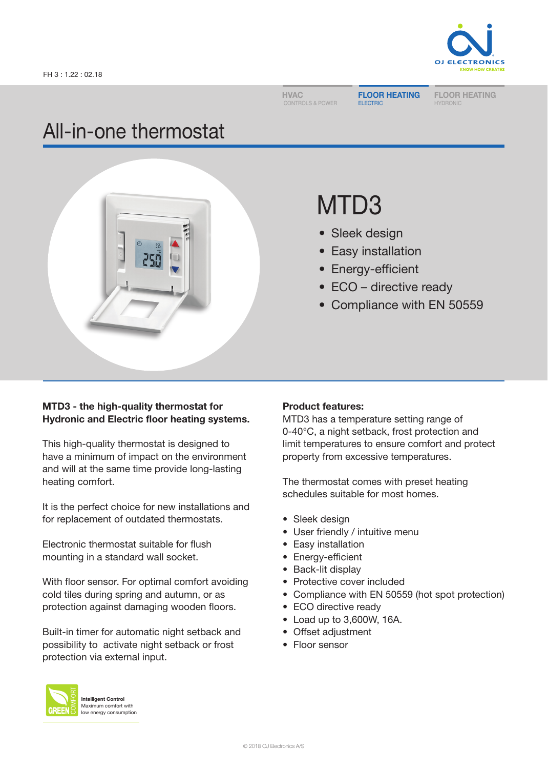**HVAC** CONTROLS & POWER FLOOR HEATING ELECTRIC

FLOOR HEATING **HYDRONIC** 

# All-in-one thermostat



# MTD3

- Sleek design
- Easy installation
- Energy-efficient
- ECO directive ready
- Compliance with EN 50559

# MTD3 - the high-quality thermostat for Hydronic and Electric floor heating systems.

This high-quality thermostat is designed to have a minimum of impact on the environment and will at the same time provide long-lasting heating comfort.

It is the perfect choice for new installations and for replacement of outdated thermostats.

Electronic thermostat suitable for flush mounting in a standard wall socket.

With floor sensor. For optimal comfort avoiding cold tiles during spring and autumn, or as protection against damaging wooden floors.

Built-in timer for automatic night setback and possibility to activate night setback or frost protection via external input.



Intelligent Control Maximum comfort with low energy consumption

#### Product features:

MTD3 has a temperature setting range of 0-40°C, a night setback, frost protection and limit temperatures to ensure comfort and protect property from excessive temperatures.

The thermostat comes with preset heating schedules suitable for most homes.

- Sleek design
- User friendly / intuitive menu
- Easy installation
- Energy-efficient
- Back-lit display
- Protective cover included
- Compliance with EN 50559 (hot spot protection)
- ECO directive ready
- Load up to 3,600W, 16A.
- Offset adjustment
- Floor sensor